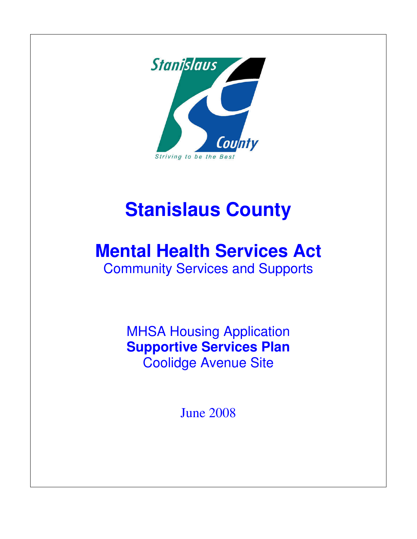

## **Stanislaus County**

## **Mental Health Services Act**

Community Services and Supports

MHSA Housing Application **Supportive Services Plan**  Coolidge Avenue Site

June 2008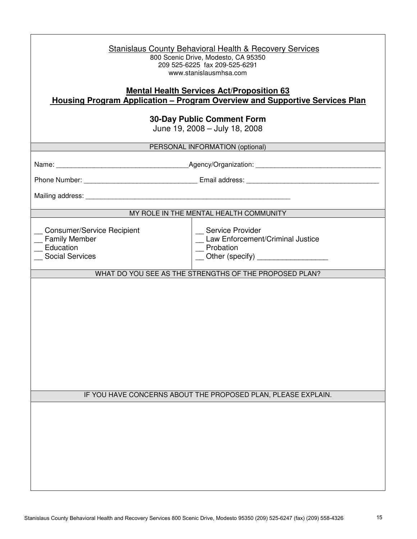| <b>Stanislaus County Behavioral Health &amp; Recovery Services</b><br>800 Scenic Drive, Modesto, CA 95350<br>209 525-6225 fax 209-525-6291<br>www.stanislausmhsa.com |                                                                                                               |  |
|----------------------------------------------------------------------------------------------------------------------------------------------------------------------|---------------------------------------------------------------------------------------------------------------|--|
| <b>Mental Health Services Act/Proposition 63</b><br><u><b>Housing Program Application – Program Overview and Supportive Services Plan</b></u>                        |                                                                                                               |  |
| <b>30-Day Public Comment Form</b><br>June 19, 2008 - July 18, 2008                                                                                                   |                                                                                                               |  |
| PERSONAL INFORMATION (optional)                                                                                                                                      |                                                                                                               |  |
|                                                                                                                                                                      |                                                                                                               |  |
|                                                                                                                                                                      |                                                                                                               |  |
|                                                                                                                                                                      |                                                                                                               |  |
| MY ROLE IN THE MENTAL HEALTH COMMUNITY                                                                                                                               |                                                                                                               |  |
| <b>Consumer/Service Recipient</b><br>_ Family Member<br>Education<br><b>Social Services</b>                                                                          | _ Service Provider<br>_ Law Enforcement/Criminal Justice<br>Probation<br>__ Other (specify) _________________ |  |
| WHAT DO YOU SEE AS THE STRENGTHS OF THE PROPOSED PLAN?                                                                                                               |                                                                                                               |  |
|                                                                                                                                                                      | IF YOU HAVE CONCERNS ABOUT THE PROPOSED PLAN, PLEASE EXPLAIN.                                                 |  |
|                                                                                                                                                                      |                                                                                                               |  |
|                                                                                                                                                                      |                                                                                                               |  |